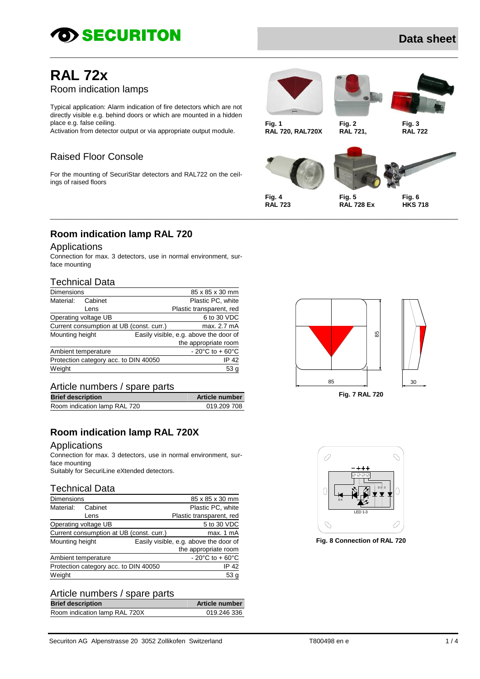# *SECURITON*

# **Data sheet**

# **RAL 72x** Room indication lamps

Typical application: Alarm indication of fire detectors which are not directly visible e.g. behind doors or which are mounted in a hidden place e.g. false ceiling.

Activation from detector output or via appropriate output module.

## Raised Floor Console

For the mounting of SecuriStar detectors and RAL722 on the ceilings of raised floors



\_\_\_\_\_\_\_\_\_\_\_\_\_\_\_\_\_\_\_\_\_\_\_\_\_\_\_\_\_\_\_\_\_\_\_\_\_\_\_\_\_\_\_\_\_\_\_\_\_\_\_\_\_\_\_\_\_\_\_\_\_\_\_\_\_\_\_\_\_\_\_\_\_\_\_\_\_\_\_\_\_\_\_\_\_\_\_\_\_\_\_\_\_\_\_\_\_\_\_\_\_\_\_\_\_\_\_\_\_\_\_\_\_\_

\_\_\_\_\_\_\_\_\_\_\_\_\_\_\_\_\_\_\_\_\_\_\_\_\_\_\_\_\_\_\_\_\_\_\_\_\_\_\_\_\_\_\_\_\_\_\_\_\_\_\_\_\_\_\_\_\_\_\_\_\_\_\_\_\_\_\_\_\_\_\_\_\_\_\_\_\_\_\_\_\_\_\_\_\_\_\_\_\_\_\_\_\_\_\_\_\_\_\_\_\_\_\_\_\_\_\_\_\_\_\_\_\_\_





**Fig. 1 Fig. 2 Fig. 3 RAL 720, RAL720X RAL 721, RAL 722**





**RAL 723 RAL 728 Ex HKS 718**

## **Room indication lamp RAL 720**

#### Applications

Connection for max. 3 detectors, use in normal environment, surface mounting

#### Technical Data

| <b>Dimensions</b>   |                      |                                          | 85 x 85 x 30 mm                                        |
|---------------------|----------------------|------------------------------------------|--------------------------------------------------------|
| Material:           | Cabinet              |                                          | Plastic PC, white                                      |
|                     | Lens                 |                                          | Plastic transparent, red                               |
|                     | Operating voltage UB |                                          | 6 to 30 VDC                                            |
|                     |                      | Current consumption at UB (const. curr.) | max. 2.7 mA                                            |
| Mounting height     |                      |                                          | Easily visible, e.g. above the door of                 |
|                     |                      |                                          | the appropriate room                                   |
| Ambient temperature |                      |                                          | - 20 $\mathrm{^{\circ}C}$ to + 60 $\mathrm{^{\circ}C}$ |
|                     |                      | Protection category acc. to DIN 40050    | IP 42                                                  |
| Weight              |                      |                                          | 53 <sub>g</sub>                                        |

#### Article numbers / spare parts

| <b>Article number</b> |
|-----------------------|
| 019.209 708           |
|                       |

## **Room indication lamp RAL 720X**

#### Applications

Connection for max. 3 detectors, use in normal environment, surface mounting

Suitably for SecuriLine eXtended detectors.

#### Technical Data

| <b>Dimensions</b> |                      |                                          | 85 x 85 x 30 mm                        |
|-------------------|----------------------|------------------------------------------|----------------------------------------|
| Material:         | Cabinet              |                                          | Plastic PC, white                      |
|                   | Lens                 |                                          | Plastic transparent, red               |
|                   | Operating voltage UB |                                          | 5 to 30 VDC                            |
|                   |                      | Current consumption at UB (const. curr.) | max. 1 mA                              |
| Mounting height   |                      |                                          | Easily visible, e.g. above the door of |
|                   |                      |                                          | the appropriate room                   |
|                   | Ambient temperature  |                                          | $-20^{\circ}$ C to $+60^{\circ}$ C     |
|                   |                      | Protection category acc. to DIN 40050    | IP 42                                  |
| Weight            |                      |                                          | 53 a                                   |

#### Article numbers / spare parts

| <b>Brief description</b>      | <b>Article number</b> |
|-------------------------------|-----------------------|
| Room indication lamp RAL 720X | 019.246 336           |





**Fig. 8 Connection of RAL 720**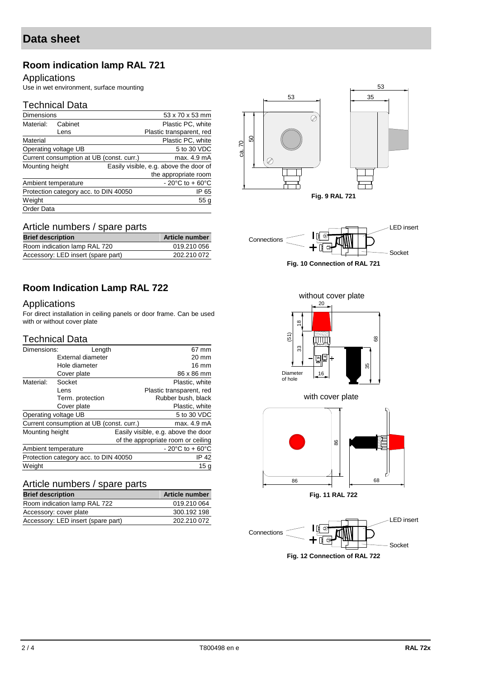# **Room indication lamp RAL 721**

#### Applications

Use in wet environment, surface mounting

#### Technical Data

| <b>Dimensions</b>                     |                      |                                          | 53 x 70 x 53 mm                        |
|---------------------------------------|----------------------|------------------------------------------|----------------------------------------|
| Material:                             | Cabinet              |                                          | Plastic PC, white                      |
|                                       | Lens                 |                                          | Plastic transparent, red               |
| Material                              |                      |                                          | Plastic PC, white                      |
|                                       | Operating voltage UB |                                          | 5 to 30 VDC                            |
|                                       |                      | Current consumption at UB (const. curr.) | max. 4.9 mA                            |
| Mounting height                       |                      |                                          | Easily visible, e.g. above the door of |
|                                       |                      |                                          | the appropriate room                   |
|                                       | Ambient temperature  |                                          | $-20^{\circ}$ C to + 60 $^{\circ}$ C   |
| Protection category acc. to DIN 40050 |                      | IP 65                                    |                                        |
| Weight                                |                      |                                          | 55 <sub>g</sub>                        |
| Order Data                            |                      |                                          |                                        |





### LED insert **Connections** Socket **Fig. 10 Connection of RAL 721**

without cover plate

# **Room Indication Lamp RAL 722**

#### Applications

For direct installation in ceiling panels or door frame. Can be used with or without cover plate

Room indication lamp RAL 720 019.210 056 Accessory: LED insert (spare part) 202.210 072

#### Technical Data

| Length            |                                                                               | 67 mm                                                                             |
|-------------------|-------------------------------------------------------------------------------|-----------------------------------------------------------------------------------|
| External diameter |                                                                               | 20 mm                                                                             |
| Hole diameter     |                                                                               | $16 \text{ mm}$                                                                   |
| Cover plate       |                                                                               | 86 x 86 mm                                                                        |
| Socket            |                                                                               | Plastic, white                                                                    |
| Lens              |                                                                               | Plastic transparent, red                                                          |
| Term. protection  |                                                                               | Rubber bush, black                                                                |
| Cover plate       |                                                                               | Plastic, white                                                                    |
|                   |                                                                               | 5 to 30 VDC                                                                       |
|                   |                                                                               | max. 4.9 mA                                                                       |
|                   |                                                                               | Easily visible, e.g. above the door                                               |
|                   |                                                                               | of the appropriate room or ceiling                                                |
|                   |                                                                               | $-20^{\circ}$ C to +60 $^{\circ}$ C                                               |
|                   |                                                                               | IP 42                                                                             |
|                   |                                                                               | 15g                                                                               |
|                   | Dimensions:<br>Operating voltage UB<br>Mounting height<br>Ambient temperature | Current consumption at UB (const. curr.)<br>Protection category acc. to DIN 40050 |

#### Article numbers / spare parts

| <b>Brief description</b>           | <b>Article number</b> |
|------------------------------------|-----------------------|
| Room indication lamp RAL 722       | 019.210 064           |
| Accessory: cover plate             | 300.192 198           |
| Accessory: LED insert (spare part) | 202.210 072           |







# Article numbers / spare parts **Brief description Article number**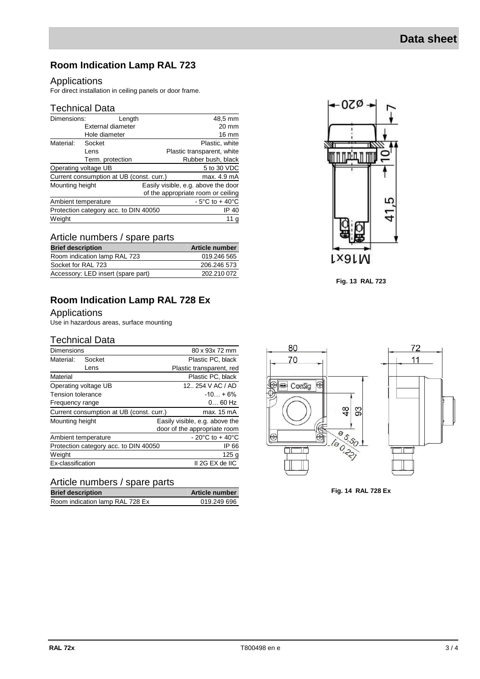# **Room Indication Lamp RAL 723**

#### Applications

For direct installation in ceiling panels or door frame.

## Technical Data

| Dimensions:                              | Length            | 48,5 mm                             |
|------------------------------------------|-------------------|-------------------------------------|
|                                          | External diameter | 20 mm                               |
|                                          | Hole diameter     | 16 mm                               |
| Material:                                | Socket            | Plastic, white                      |
|                                          | Lens              | Plastic transparent, white          |
|                                          | Term. protection  | Rubber bush, black                  |
| Operating voltage UB                     |                   | 5 to 30 VDC                         |
| Current consumption at UB (const. curr.) |                   | max. 4.9 mA                         |
| Mounting height                          |                   | Easily visible, e.g. above the door |
|                                          |                   | of the appropriate room or ceiling  |
| Ambient temperature                      |                   | $-5^{\circ}$ C to + 40 $^{\circ}$ C |
| Protection category acc. to DIN 40050    |                   | IP 40                               |
| Weight                                   |                   | 11 <sub>g</sub>                     |

## Article numbers / spare parts

| <b>Brief description</b>           | <b>Article number</b> |
|------------------------------------|-----------------------|
| Room indication lamp RAL 723       | 019.246 565           |
| Socket for RAL 723                 | 206.246 573           |
| Accessory: LED insert (spare part) | 202.210 072           |

## **Room Indication Lamp RAL 728 Ex**

#### Applications

Use in hazardous areas, surface mounting

#### Technical Data

| <b>Dimensions</b>                     |                                          | 80 x 93x 72 mm                     |
|---------------------------------------|------------------------------------------|------------------------------------|
| Material:                             | Socket                                   | Plastic PC, black                  |
|                                       | Lens                                     | Plastic transparent, red           |
| Material                              |                                          | Plastic PC, black                  |
|                                       | Operating voltage UB                     | 12., 254 V AC / AD                 |
| Tension tolerance                     |                                          | $-10 + 6%$                         |
| Frequency range                       |                                          | $060$ Hz                           |
|                                       | Current consumption at UB (const. curr.) | max. 15 mA                         |
| Mounting height                       |                                          | Easily visible, e.g. above the     |
|                                       |                                          | door of the appropriate room       |
|                                       | Ambient temperature                      | $-20^{\circ}$ C to $+40^{\circ}$ C |
| Protection category acc. to DIN 40050 |                                          | IP 66                              |
| Weight                                |                                          | 125 <sub>g</sub>                   |
| Ex-classification                     |                                          | II 2G EX de IIC                    |

#### Article numbers / spare parts

| <b>Brief description</b>        | <b>Article number</b> |
|---------------------------------|-----------------------|
| Room indication lamp RAL 728 Ex | 019.249 696           |



**Fig. 13 RAL 723**



**Fig. 14 RAL 728 Ex**